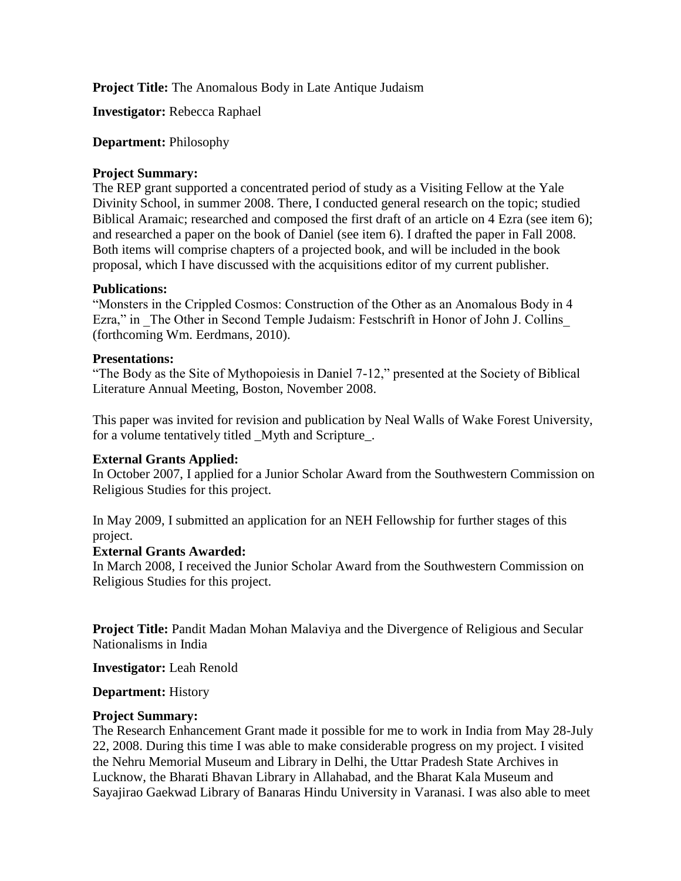**Project Title:** The Anomalous Body in Late Antique Judaism

**Investigator:** Rebecca Raphael

# **Department:** Philosophy

# **Project Summary:**

The REP grant supported a concentrated period of study as a Visiting Fellow at the Yale Divinity School, in summer 2008. There, I conducted general research on the topic; studied Biblical Aramaic; researched and composed the first draft of an article on 4 Ezra (see item 6); and researched a paper on the book of Daniel (see item 6). I drafted the paper in Fall 2008. Both items will comprise chapters of a projected book, and will be included in the book proposal, which I have discussed with the acquisitions editor of my current publisher.

# **Publications:**

"Monsters in the Crippled Cosmos: Construction of the Other as an Anomalous Body in 4 Ezra," in The Other in Second Temple Judaism: Festschrift in Honor of John J. Collins (forthcoming Wm. Eerdmans, 2010).

# **Presentations:**

"The Body as the Site of Mythopoiesis in Daniel 7-12," presented at the Society of Biblical Literature Annual Meeting, Boston, November 2008.

This paper was invited for revision and publication by Neal Walls of Wake Forest University, for a volume tentatively titled \_Myth and Scripture\_.

# **External Grants Applied:**

In October 2007, I applied for a Junior Scholar Award from the Southwestern Commission on Religious Studies for this project.

In May 2009, I submitted an application for an NEH Fellowship for further stages of this project.

## **External Grants Awarded:**

In March 2008, I received the Junior Scholar Award from the Southwestern Commission on Religious Studies for this project.

**Project Title:** Pandit Madan Mohan Malaviya and the Divergence of Religious and Secular Nationalisms in India

**Investigator:** Leah Renold

**Department:** History

### **Project Summary:**

The Research Enhancement Grant made it possible for me to work in India from May 28-July 22, 2008. During this time I was able to make considerable progress on my project. I visited the Nehru Memorial Museum and Library in Delhi, the Uttar Pradesh State Archives in Lucknow, the Bharati Bhavan Library in Allahabad, and the Bharat Kala Museum and Sayajirao Gaekwad Library of Banaras Hindu University in Varanasi. I was also able to meet